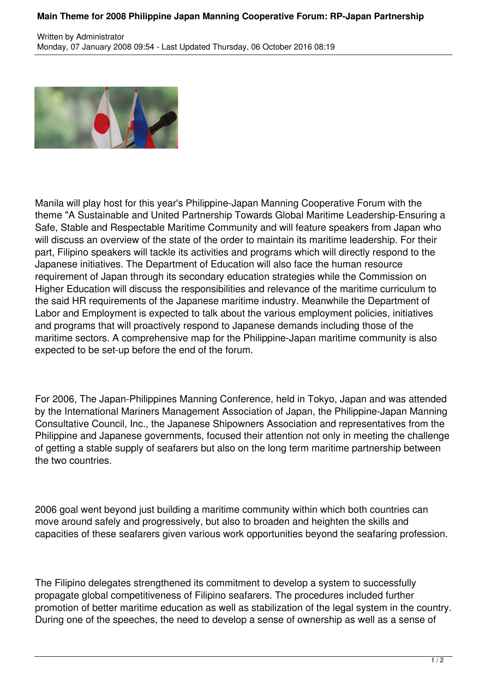## **Main Theme for 2008 Philippine Japan Manning Cooperative Forum: RP-Japan Partnership**



Manila will play host for this year's Philippine-Japan Manning Cooperative Forum with the theme "A Sustainable and United Partnership Towards Global Maritime Leadership-Ensuring a Safe, Stable and Respectable Maritime Community and will feature speakers from Japan who will discuss an overview of the state of the order to maintain its maritime leadership. For their part, Filipino speakers will tackle its activities and programs which will directly respond to the Japanese initiatives. The Department of Education will also face the human resource requirement of Japan through its secondary education strategies while the Commission on Higher Education will discuss the responsibilities and relevance of the maritime curriculum to the said HR requirements of the Japanese maritime industry. Meanwhile the Department of Labor and Employment is expected to talk about the various employment policies, initiatives and programs that will proactively respond to Japanese demands including those of the maritime sectors. A comprehensive map for the Philippine-Japan maritime community is also expected to be set-up before the end of the forum.

For 2006, The Japan-Philippines Manning Conference, held in Tokyo, Japan and was attended by the International Mariners Management Association of Japan, the Philippine-Japan Manning Consultative Council, Inc., the Japanese Shipowners Association and representatives from the Philippine and Japanese governments, focused their attention not only in meeting the challenge of getting a stable supply of seafarers but also on the long term maritime partnership between the two countries.

2006 goal went beyond just building a maritime community within which both countries can move around safely and progressively, but also to broaden and heighten the skills and capacities of these seafarers given various work opportunities beyond the seafaring profession.

The Filipino delegates strengthened its commitment to develop a system to successfully propagate global competitiveness of Filipino seafarers. The procedures included further promotion of better maritime education as well as stabilization of the legal system in the country. During one of the speeches, the need to develop a sense of ownership as well as a sense of